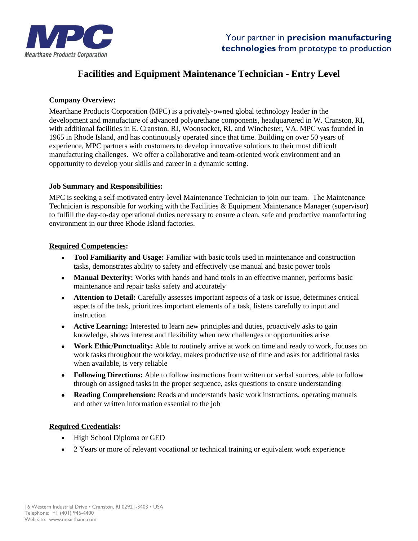

# **Facilities and Equipment Maintenance Technician - Entry Level**

## **Company Overview:**

Mearthane Products Corporation (MPC) is a privately-owned global technology leader in the development and manufacture of advanced polyurethane components, headquartered in W. Cranston, RI, with additional facilities in E. Cranston, RI, Woonsocket, RI, and Winchester, VA. MPC was founded in 1965 in Rhode Island, and has continuously operated since that time. Building on over 50 years of experience, MPC partners with customers to develop innovative solutions to their most difficult manufacturing challenges. We offer a collaborative and team-oriented work environment and an opportunity to develop your skills and career in a dynamic setting.

## **Job Summary and Responsibilities:**

MPC is seeking a self-motivated entry-level Maintenance Technician to join our team. The Maintenance Technician is responsible for working with the Facilities & Equipment Maintenance Manager (supervisor) to fulfill the day-to-day operational duties necessary to ensure a clean, safe and productive manufacturing environment in our three Rhode Island factories.

#### **Required Competencies:**

- **Tool Familiarity and Usage:** Familiar with basic tools used in maintenance and construction tasks, demonstrates ability to safety and effectively use manual and basic power tools
- **Manual Dexterity:** Works with hands and hand tools in an effective manner, performs basic maintenance and repair tasks safety and accurately
- **Attention to Detail:** Carefully assesses important aspects of a task or issue, determines critical aspects of the task, prioritizes important elements of a task, listens carefully to input and instruction
- **Active Learning:** Interested to learn new principles and duties, proactively asks to gain knowledge, shows interest and flexibility when new challenges or opportunities arise
- Work Ethic/Punctuality: Able to routinely arrive at work on time and ready to work, focuses on work tasks throughout the workday, makes productive use of time and asks for additional tasks when available, is very reliable
- **Following Directions:** Able to follow instructions from written or verbal sources, able to follow through on assigned tasks in the proper sequence, asks questions to ensure understanding
- **Reading Comprehension:** Reads and understands basic work instructions, operating manuals and other written information essential to the job

#### **Required Credentials:**

- High School Diploma or GED
- 2 Years or more of relevant vocational or technical training or equivalent work experience